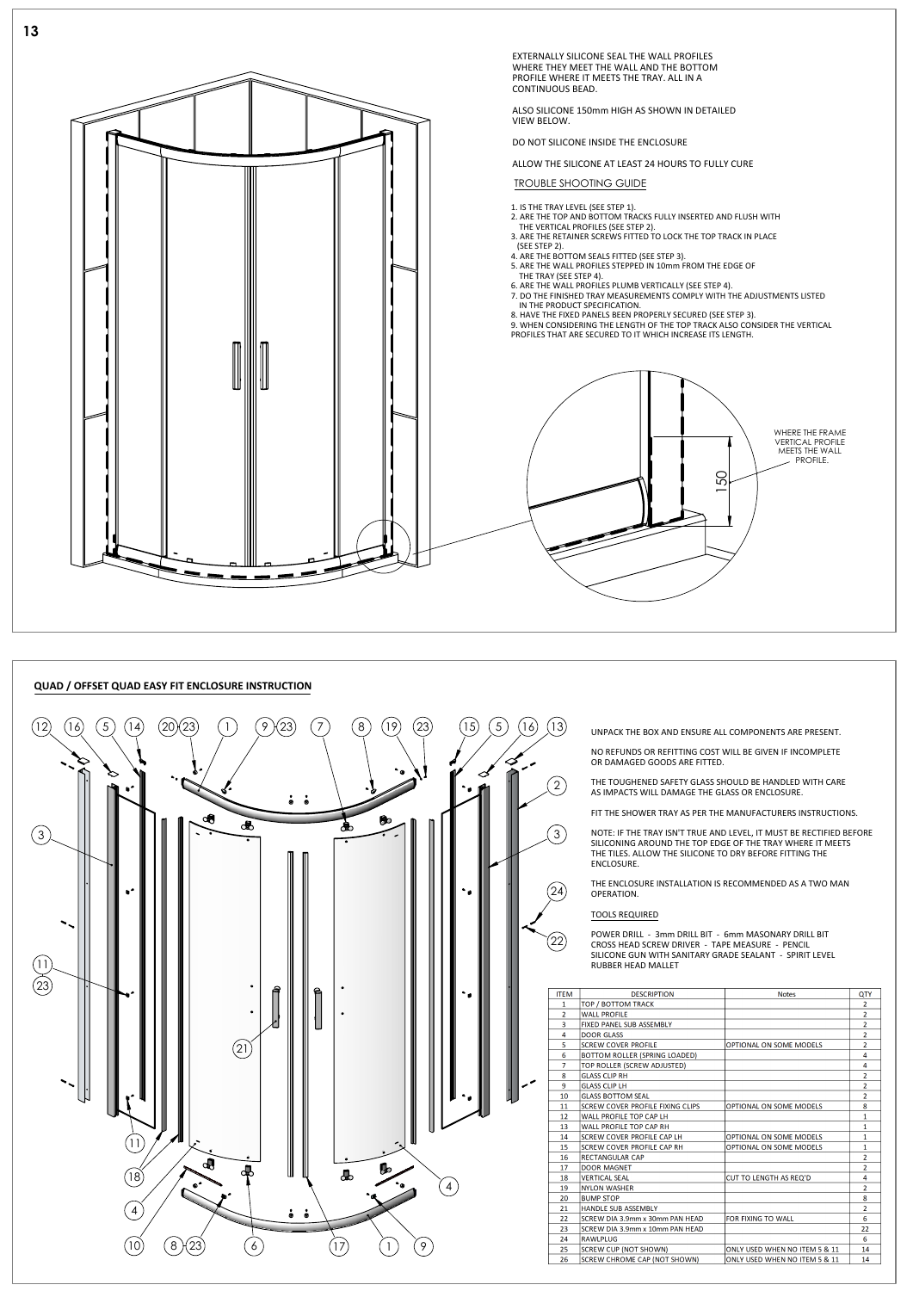## **QUAD / OFFSET QUAD EASY FIT ENCLOSURE INSTRUCTION**  $(12)$   $(16)$   $(5)$  $(14)$   $(20)(23)$   $(1)$   $(9)(23)$   $(7)$  $\begin{pmatrix} 8 \end{pmatrix}$   $\begin{pmatrix} 19 \end{pmatrix}$   $\begin{pmatrix} 23 \end{pmatrix}$   $\begin{pmatrix} 15 \end{pmatrix}$   $\begin{pmatrix} 5 \end{pmatrix}$   $\begin{pmatrix} 16 \end{pmatrix}$   $\begin{pmatrix} 13 \end{pmatrix}$  unpack the box and ensure all components are present. 20)(23) (1) (9)(23) (7) (8)(19 9  $(23)$   $(7)$   $(8)$   $(19)$   $(23)$   $(15)$   $(5)$   $(16)$   $(13)$ ◇ 2  $\mathbf{r}^{\prime}$  $\ddot{\bullet}$  $\ddot{\bullet}$ ৩€  $\bullet$ 3 3  $\mathbf{R}^{\prime}$ 24  $\left( 22\right)$  $(11)$



| <b>ITEM</b>    | <b>DESCRIPTION</b>                      | <b>Notes</b>                  | QTY            |
|----------------|-----------------------------------------|-------------------------------|----------------|
| 1              | TOP / BOTTOM TRACK                      |                               | $\overline{2}$ |
| $\overline{2}$ | <b>WALL PROFILE</b>                     |                               | $\overline{2}$ |
| 3              | <b>FIXED PANEL SUB ASSEMBLY</b>         |                               | $\overline{2}$ |
| 4              | <b>DOOR GLASS</b>                       |                               | $\overline{2}$ |
| 5              | <b>SCREW COVER PROFILE</b>              | OPTIONAL ON SOME MODELS       | $\overline{2}$ |
| 6              | <b>BOTTOM ROLLER (SPRING LOADED)</b>    |                               | 4              |
| $\overline{7}$ | TOP ROLLER (SCREW ADJUSTED)             |                               | 4              |
| 8              | <b>GLASS CLIP RH</b>                    |                               | $\overline{2}$ |
| 9              | <b>GLASS CLIP LH</b>                    |                               | $\overline{2}$ |
| 10             | <b>GLASS BOTTOM SEAL</b>                |                               | $\overline{2}$ |
| 11             | <b>SCREW COVER PROFILE FIXING CLIPS</b> | OPTIONAL ON SOME MODELS       | 8              |
| 12             | WALL PROFILE TOP CAP LH                 |                               | $\mathbf{1}$   |
| 13             | <b>WALL PROFILE TOP CAP RH</b>          |                               | $\mathbf{1}$   |
| 14             | <b>SCREW COVER PROFILE CAP LH</b>       | OPTIONAL ON SOME MODELS       | 1              |
| 15             | <b>SCREW COVER PROFILE CAP RH</b>       | OPTIONAL ON SOME MODELS       | 1              |
| 16             | <b>RECTANGULAR CAP</b>                  |                               | $\overline{2}$ |
| 17             | <b>DOOR MAGNET</b>                      |                               | $\overline{2}$ |
| 18             | <b>VERTICAL SEAL</b>                    | <b>CUT TO LENGTH AS REQ'D</b> | 4              |
| 19             | <b>NYLON WASHER</b>                     |                               | $\overline{2}$ |
| 20             | <b>BUMP STOP</b>                        |                               | 8              |
| 21             | <b>HANDLE SUB ASSEMBLY</b>              |                               | $\overline{2}$ |
| 22             | SCREW DIA 3.9mm x 30mm PAN HEAD         | FOR FIXING TO WALL            | 6              |
| 23             | SCREW DIA 3.9mm x 10mm PAN HEAD         |                               | 22             |
| 24             | <b>RAWLPLUG</b>                         |                               | 6              |
| 25             | <b>SCREW CUP (NOT SHOWN)</b>            | ONLY USED WHEN NO ITEM 5 & 11 | 14             |
| 26             | <b>SCREW CHROME CAP (NOT SHOWN)</b>     | ONLY USED WHEN NO ITEM 5 & 11 | 14             |

NO REFUNDS OR REFITTING COST WILL BE GIVEN IF INCOMPLETE OR DAMAGED GOODS ARE FITTED.

THE TOUGHENED SAFETY GLASS SHOULD BE HANDLED WITH CARE AS IMPACTS WILL DAMAGE THE GLASS OR ENCLOSURE.

FIT THE SHOWER TRAY AS PER THE MANUFACTURERS INSTRUCTIONS.

NOTE: IF THE TRAY ISN'T TRUE AND LEVEL, IT MUST BE RECTIFIED BEFORE SILICONING AROUND THE TOP EDGE OF THE TRAY WHERE IT MEETS THE TILES. ALLOW THE SILICONE TO DRY BEFORE FITTING THE ENCLOSURE.



THE ENCLOSURE INSTALLATION IS RECOMMENDED AS A TWO MAN OPERATION.

## TOOLS REQUIRED

POWER DRILL - 3mm DRILL BIT - 6mm MASONARY DRILL BIT CROSS HEAD SCREW DRIVER - TAPE MEASURE - PENCIL SILICONE GUN WITH SANITARY GRADE SEALANT - SPIRIT LEVEL RUBBER HEAD MALLET